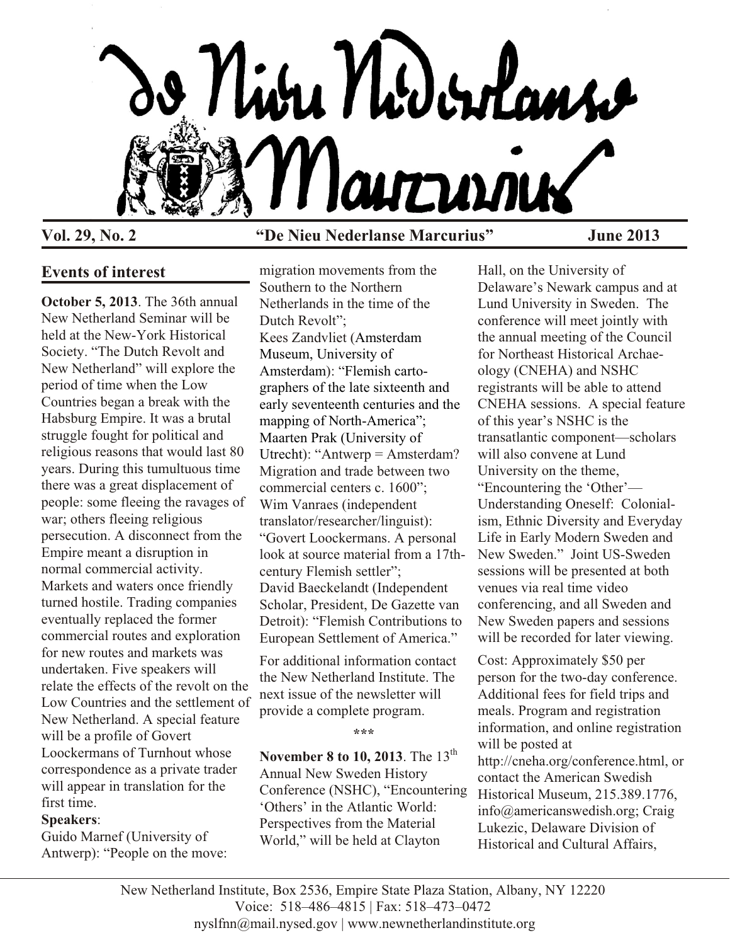

### **Vol. 29, No. 2 "De Nieu Nederlanse Marcurius" June 2013**

# **Events of interest**

**October 5, 2013**. The 36th annual New Netherland Seminar will be held at the New-York Historical Society. "The Dutch Revolt and New Netherland" will explore the period of time when the Low Countries began a break with the Habsburg Empire. It was a brutal struggle fought for political and religious reasons that would last 80 years. During this tumultuous time there was a great displacement of people: some fleeing the ravages of war; others fleeing religious persecution. A disconnect from the Empire meant a disruption in normal commercial activity. Markets and waters once friendly turned hostile. Trading companies eventually replaced the former commercial routes and exploration for new routes and markets was undertaken. Five speakers will relate the effects of the revolt on the Low Countries and the settlement of New Netherland. A special feature will be a profile of Govert Loockermans of Turnhout whose correspondence as a private trader will appear in translation for the first time.

### **Speakers**:

Guido Marnef (University of Antwerp): "People on the move: migration movements from the Southern to the Northern Netherlands in the time of the Dutch Revolt": Kees Zandvliet (Amsterdam Museum, University of Amsterdam): "Flemish cartographers of the late sixteenth and early seventeenth centuries and the mapping of North-America"; Maarten Prak (University of Utrecht): "Antwerp = Amsterdam? Migration and trade between two commercial centers c. 1600"; Wim Vanraes (independent translator/researcher/linguist): "Govert Loockermans. A personal look at source material from a 17thcentury Flemish settler"; David Baeckelandt (Independent Scholar, President, De Gazette van Detroit): "Flemish Contributions to European Settlement of America."

For additional information contact the New Netherland Institute. The next issue of the newsletter will provide a complete program.

**\*\*\***

**November 8 to 10, 2013**. The 13<sup>th</sup> Annual New Sweden History Conference (NSHC), "Encountering 'Others' in the Atlantic World: Perspectives from the Material World," will be held at Clayton

Hall, on the University of Delaware's Newark campus and at Lund University in Sweden. The conference will meet jointly with the annual meeting of the Council for Northeast Historical Archaeology (CNEHA) and NSHC registrants will be able to attend CNEHA sessions. A special feature of this year's NSHC is the transatlantic component—scholars will also convene at Lund University on the theme, "Encountering the 'Other'— Understanding Oneself: Colonialism, Ethnic Diversity and Everyday Life in Early Modern Sweden and New Sweden." Joint US-Sweden sessions will be presented at both venues via real time video conferencing, and all Sweden and New Sweden papers and sessions will be recorded for later viewing.

Cost: Approximately \$50 per person for the two-day conference. Additional fees for field trips and meals. Program and registration information, and online registration will be posted at http://cneha.org/conference.html, or contact the American Swedish Historical Museum, 215.389.1776, info@americanswedish.org; Craig Lukezic, Delaware Division of Historical and Cultural Affairs,

New Netherland Institute, Box 2536, Empire State Plaza Station, Albany, NY 12220 Voice: 518–486–4815 | Fax: 518–473–0472 nyslfnn@mail.nysed.gov | www.newnetherlandinstitute.org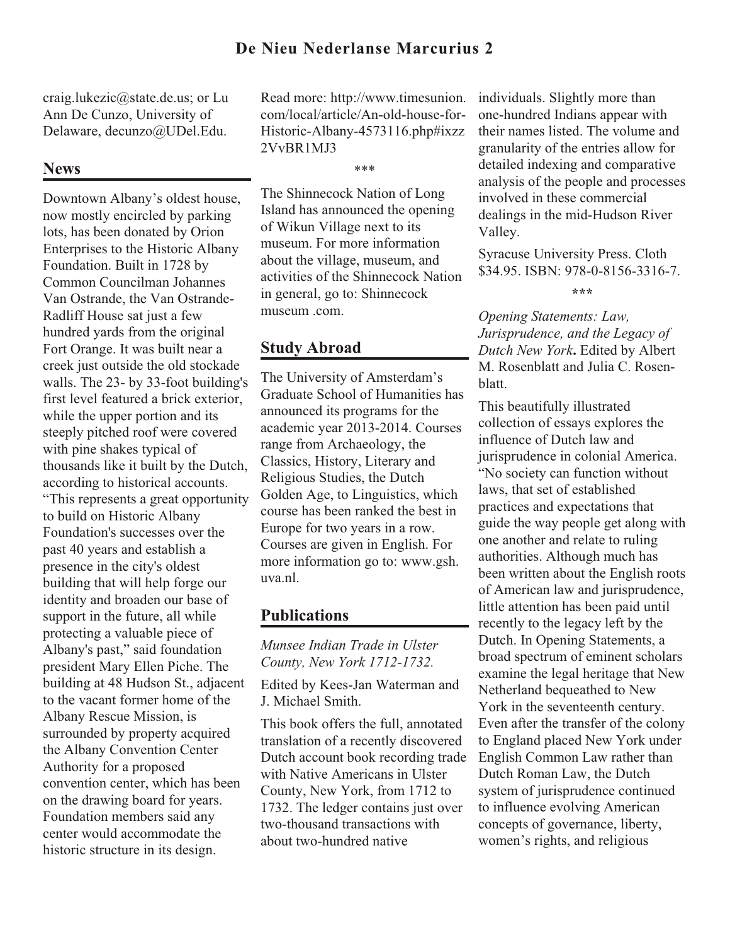craig.lukezic@state.de.us; or Lu Ann De Cunzo, University of Delaware, decunzo@UDel.Edu.

# **News**

Downtown Albany's oldest house, now mostly encircled by parking lots, has been donated by Orion Enterprises to the Historic Albany Foundation. Built in 1728 by Common Councilman Johannes Van Ostrande, the Van Ostrande-Radliff House sat just a few hundred yards from the original Fort Orange. It was built near a creek just outside the old stockade walls. The 23- by 33-foot building's first level featured a brick exterior, while the upper portion and its steeply pitched roof were covered with pine shakes typical of thousands like it built by the Dutch, according to historical accounts. "This represents a great opportunity to build on Historic Albany Foundation's successes over the past 40 years and establish a presence in the city's oldest building that will help forge our identity and broaden our base of support in the future, all while protecting a valuable piece of Albany's past," said foundation president Mary Ellen Piche. The building at 48 Hudson St., adjacent to the vacant former home of the Albany Rescue Mission, is surrounded by property acquired the Albany Convention Center Authority for a proposed convention center, which has been on the drawing board for years. Foundation members said any center would accommodate the historic structure in its design.

Read more: http://www.timesunion. com/local/article/An-old-house-for-Historic-Albany-4573116.php#ixzz 2VvBR1MJ3

\*\*\*

The Shinnecock Nation of Long Island has announced the opening of Wikun Village next to its museum. For more information about the village, museum, and activities of the Shinnecock Nation in general, go to: Shinnecock museum .com.

# **Study Abroad**

The University of Amsterdam's Graduate School of Humanities has announced its programs for the academic year 2013-2014. Courses range from Archaeology, the Classics, History, Literary and Religious Studies, the Dutch Golden Age, to Linguistics, which course has been ranked the best in Europe for two years in a row. Courses are given in English. For more information go to: www.gsh. uva.nl.

# **Publications**

*Munsee Indian Trade in Ulster County, New York 1712-1732.*

Edited by Kees-Jan Waterman and J. Michael Smith.

This book offers the full, annotated translation of a recently discovered Dutch account book recording trade with Native Americans in Ulster County, New York, from 1712 to 1732. The ledger contains just over two-thousand transactions with about two-hundred native

individuals. Slightly more than one-hundred Indians appear with their names listed. The volume and granularity of the entries allow for detailed indexing and comparative analysis of the people and processes involved in these commercial dealings in the mid-Hudson River Valley.

Syracuse University Press. Cloth \$34.95. ISBN: 978-0-8156-3316-7.

**\*\*\***

*Opening Statements: Law, Jurisprudence, and the Legacy of Dutch New York***.** Edited by Albert M. Rosenblatt and Julia C. Rosenblatt.

This beautifully illustrated collection of essays explores the influence of Dutch law and jurisprudence in colonial America. "No society can function without laws, that set of established practices and expectations that guide the way people get along with one another and relate to ruling authorities. Although much has been written about the English roots of American law and jurisprudence, little attention has been paid until recently to the legacy left by the Dutch. In Opening Statements, a broad spectrum of eminent scholars examine the legal heritage that New Netherland bequeathed to New York in the seventeenth century. Even after the transfer of the colony to England placed New York under English Common Law rather than Dutch Roman Law, the Dutch system of jurisprudence continued to influence evolving American concepts of governance, liberty, women's rights, and religious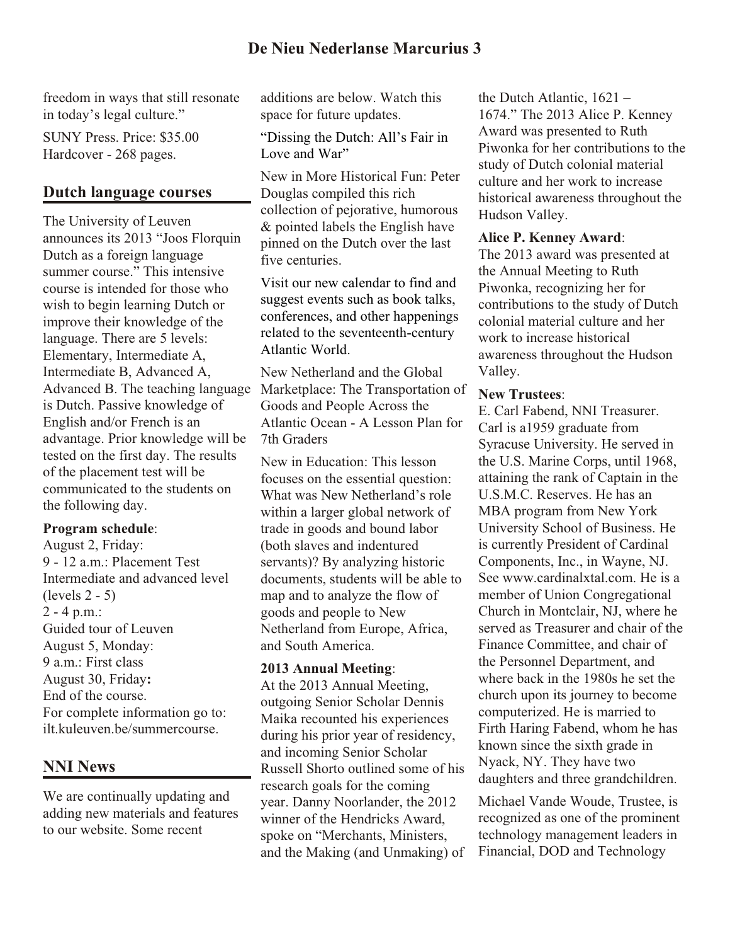freedom in ways that still resonate in today's legal culture."

SUNY Press. Price: \$35.00 Hardcover - 268 pages.

## **Dutch language courses**

The University of Leuven announces its 2013 "Joos Florquin Dutch as a foreign language summer course." This intensive course is intended for those who wish to begin learning Dutch or improve their knowledge of the language. There are 5 levels: Elementary, Intermediate A, Intermediate B, Advanced A, Advanced B. The teaching language is Dutch. Passive knowledge of English and/or French is an advantage. Prior knowledge will be tested on the first day. The results of the placement test will be communicated to the students on the following day.

### **Program schedule**:

August 2, Friday: 9 - 12 a.m.: Placement Test Intermediate and advanced level (levels 2 - 5) 2 - 4 p.m.: Guided tour of Leuven August 5, Monday: 9 a.m.: First class August 30, Friday**:** End of the course. For complete information go to: ilt.kuleuven.be/summercourse.

# **NNI News**

We are continually updating and adding new materials and features to our website. Some recent

additions are below. Watch this space for future updates.

"Dissing the Dutch: All's Fair in Love and War"

New in More Historical Fun: Peter Douglas compiled this rich collection of pejorative, humorous & pointed labels the English have pinned on the Dutch over the last five centuries.

Visit our new calendar to find and suggest events such as book talks, conferences, and other happenings related to the seventeenth-century Atlantic World.

New Netherland and the Global Marketplace: The Transportation of Goods and People Across the Atlantic Ocean - A Lesson Plan for 7th Graders

New in Education: This lesson focuses on the essential question: What was New Netherland's role within a larger global network of trade in goods and bound labor (both slaves and indentured servants)? By analyzing historic documents, students will be able to map and to analyze the flow of goods and people to New Netherland from Europe, Africa, and South America.

### **2013 Annual Meeting**:

At the 2013 Annual Meeting, outgoing Senior Scholar Dennis Maika recounted his experiences during his prior year of residency, and incoming Senior Scholar Russell Shorto outlined some of his research goals for the coming year. Danny Noorlander, the 2012 winner of the Hendricks Award, spoke on "Merchants, Ministers, and the Making (and Unmaking) of

the Dutch Atlantic, 1621 – 1674." The 2013 Alice P. Kenney Award was presented to Ruth Piwonka for her contributions to the study of Dutch colonial material culture and her work to increase historical awareness throughout the Hudson Valley.

### **Alice P. Kenney Award**:

The 2013 award was presented at the Annual Meeting to Ruth Piwonka, recognizing her for contributions to the study of Dutch colonial material culture and her work to increase historical awareness throughout the Hudson Valley.

### **New Trustees**:

E. Carl Fabend, NNI Treasurer. Carl is a1959 graduate from Syracuse University. He served in the U.S. Marine Corps, until 1968, attaining the rank of Captain in the U.S.M.C. Reserves. He has an MBA program from New York University School of Business. He is currently President of Cardinal Components, Inc., in Wayne, NJ. See www.cardinalxtal.com. He is a member of Union Congregational Church in Montclair, NJ, where he served as Treasurer and chair of the Finance Committee, and chair of the Personnel Department, and where back in the 1980s he set the church upon its journey to become computerized. He is married to Firth Haring Fabend, whom he has known since the sixth grade in Nyack, NY. They have two daughters and three grandchildren.

Michael Vande Woude, Trustee, is recognized as one of the prominent technology management leaders in Financial, DOD and Technology